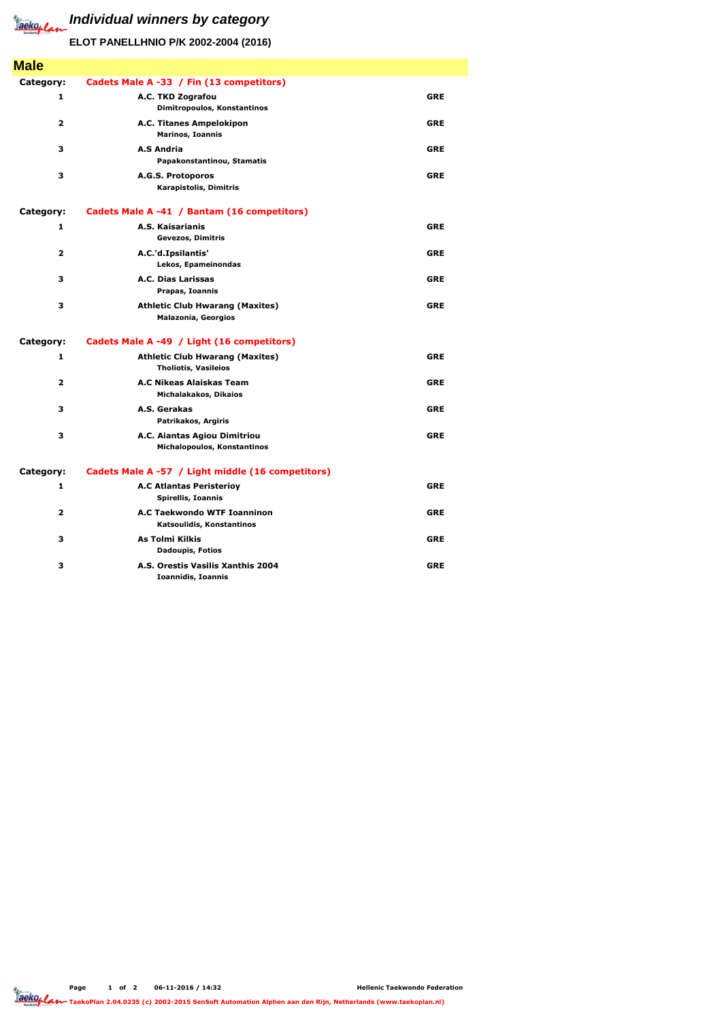

## **Individual winners by category**

| <b>Male</b>  |                                                                       |            |
|--------------|-----------------------------------------------------------------------|------------|
| Category:    | Cadets Male A -33 / Fin (13 competitors)                              |            |
| 1            | A.C. TKD Zografou<br>Dimitropoulos, Konstantinos                      | <b>GRE</b> |
| 2            | A.C. Titanes Ampelokipon<br><b>Marinos, Ioannis</b>                   | <b>GRE</b> |
| 3            | <b>A.S Andria</b><br>Papakonstantinou, Stamatis                       | <b>GRE</b> |
| 3            | A.G.S. Protoporos<br>Karapistolis, Dimitris                           | <b>GRE</b> |
| Category:    | Cadets Male A -41 / Bantam (16 competitors)                           |            |
| 1            | A.S. Kaisarianis<br><b>Gevezos, Dimitris</b>                          | <b>GRE</b> |
| 2            | A.C.'d.Ipsilantis'<br>Lekos, Epameinondas                             | <b>GRE</b> |
| 3            | <b>A.C. Dias Larissas</b><br>Prapas, Ioannis                          | <b>GRE</b> |
| 3            | <b>Athletic Club Hwarang (Maxites)</b><br><b>Malazonia, Georgios</b>  | <b>GRE</b> |
| Category:    | Cadets Male A -49 / Light (16 competitors)                            |            |
| 1            | <b>Athletic Club Hwarang (Maxites)</b><br><b>Tholiotis, Vasileios</b> | <b>GRE</b> |
| $\mathbf{2}$ | A.C Nikeas Alaiskas Team<br>Michalakakos, Dikaios                     | <b>GRE</b> |
| 3            | A.S. Gerakas<br>Patrikakos, Argiris                                   | <b>GRE</b> |
| 3            | A.C. Aiantas Agiou Dimitriou<br>Michalopoulos, Konstantinos           | <b>GRE</b> |
| Category:    | Cadets Male A -57 / Light middle (16 competitors)                     |            |
| 1            | <b>A.C Atlantas Peristerioy</b><br>Spirellis, Ioannis                 | <b>GRE</b> |
| $\mathbf{2}$ | <b>A.C Taekwondo WTF Ioanninon</b><br>Katsoulidis, Konstantinos       | <b>GRE</b> |
| 3            | <b>As Tolmi Kilkis</b><br><b>Dadoupis, Fotios</b>                     | <b>GRE</b> |
| З            | A.S. Orestis Vasilis Xanthis 2004                                     | <b>GRE</b> |

**Ioannidis, Ioannis**

## **ELOT PANELLHNIO P/K 2002-2004 (2016)**



**TaekoPlan 2.04.0235 (c) 2002-2015 SenSoft Automation Alphen aan den Rijn, Netherlands (www.taekoplan.nl)**

**Hellenic Taekwondo Federation**